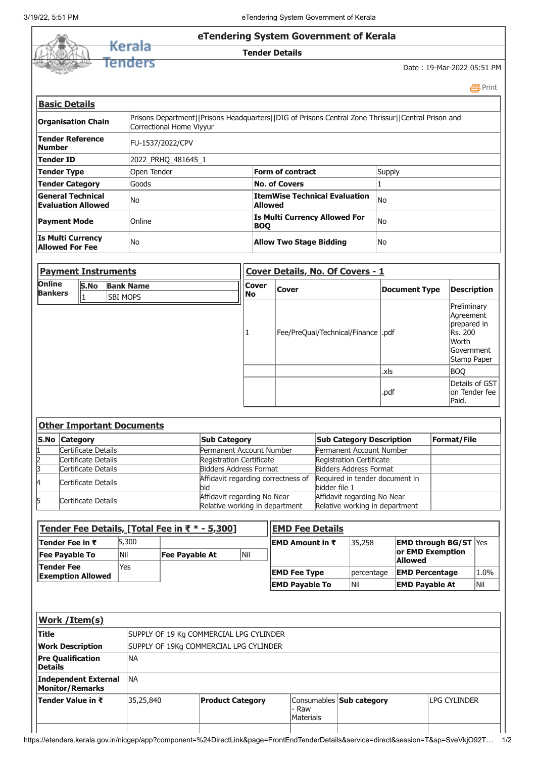

| <b>Payment Instruments</b>      |      |                                     | Cover Details, No. Of Covers - 1 |              |                                      |                      |                                                                                                          |  |
|---------------------------------|------|-------------------------------------|----------------------------------|--------------|--------------------------------------|----------------------|----------------------------------------------------------------------------------------------------------|--|
| <b>Online</b><br><b>Bankers</b> | S.No | <b>Bank Name</b><br><b>SBI MOPS</b> |                                  | Cover<br> No | <b>Cover</b>                         | <b>Document Type</b> | <b>Description</b>                                                                                       |  |
|                                 |      |                                     |                                  |              | Fee/PreQual/Technical/Finance   .pdf |                      | Preliminary<br>Agreement<br>prepared in<br><b>IRs. 200</b><br>lWorth<br><b>Government</b><br>Stamp Paper |  |
|                                 |      |                                     |                                  |              |                                      | .xls                 | <b>BOO</b>                                                                                               |  |
|                                 |      |                                     |                                  |              |                                      | .pdf                 | Details of GST<br>lon Tender fee<br>Paid.                                                                |  |
|                                 |      | Atlant Thomas Hand, Baranno and a   |                                  |              |                                      |                      |                                                                                                          |  |

| Other Important Documents |                     |                                                               |                                                               |             |  |  |  |  |
|---------------------------|---------------------|---------------------------------------------------------------|---------------------------------------------------------------|-------------|--|--|--|--|
|                           | S.No Category       | <b>Sub Category</b>                                           | <b>Sub Category Description</b>                               | Format/File |  |  |  |  |
|                           | Certificate Details | Permanent Account Number                                      | Permanent Account Number                                      |             |  |  |  |  |
|                           | Certificate Details | Registration Certificate                                      | Registration Certificate                                      |             |  |  |  |  |
|                           | Certificate Details | <b>Bidders Address Format</b>                                 | <b>Bidders Address Format</b>                                 |             |  |  |  |  |
|                           | Certificate Details | Affidavit regarding correctness of<br>lbid                    | Required in tender document in<br>bidder file 1               |             |  |  |  |  |
| Б                         | Certificate Details | Affidavit regarding No Near<br>Relative working in department | Affidavit regarding No Near<br>Relative working in department |             |  |  |  |  |

| <u> Tender Fee Details, [Total Fee in ₹ * - 5,300]</u> |     |                       |                         | <b>IEMD Fee Details</b> |                              |                                    |      |  |
|--------------------------------------------------------|-----|-----------------------|-------------------------|-------------------------|------------------------------|------------------------------------|------|--|
| Tender Fee in ₹                                        |     |                       | <b>IEMD Amount in ₹</b> | 35,258                  | <b>EMD through BG/ST Yes</b> |                                    |      |  |
| <b>Fee Pavable To</b>                                  | Nil | Nil<br>Fee Payable At |                         |                         |                              | or EMD Exemption<br><b>Allowed</b> |      |  |
| <b>Tender Fee</b><br><b>Exemption Allowed</b>          | Yes |                       |                         | <b>EMD Fee Type</b>     | percentage                   | <b>EMD Percentage</b>              | 1.0% |  |
|                                                        |     |                       |                         | <b>EMD Payable To</b>   | lNil                         | <b>EMD Pavable At</b>              | Nil  |  |

| <b>Work / Item(s)</b>                          |           |                                         |                    |                                 |                     |  |  |  |  |
|------------------------------------------------|-----------|-----------------------------------------|--------------------|---------------------------------|---------------------|--|--|--|--|
| <b>Title</b>                                   |           | SUPPLY OF 19 Kg COMMERCIAL LPG CYLINDER |                    |                                 |                     |  |  |  |  |
| <b>Work Description</b>                        |           | SUPPLY OF 19Kg COMMERCIAL LPG CYLINDER  |                    |                                 |                     |  |  |  |  |
| <b>Pre Qualification</b><br><b>Details</b>     | INA       |                                         |                    |                                 |                     |  |  |  |  |
| Independent External<br><b>Monitor/Remarks</b> | INA       |                                         |                    |                                 |                     |  |  |  |  |
| Tender Value in ₹                              | 35,25,840 | <b>Product Category</b>                 | - Raw<br>Materials | Consumables <b>Sub category</b> | <b>LPG CYLINDER</b> |  |  |  |  |
|                                                |           |                                         |                    |                                 |                     |  |  |  |  |